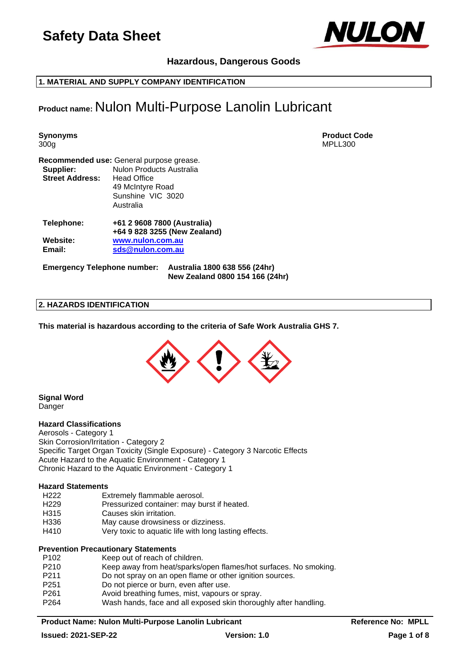

# **Hazardous, Dangerous Goods**

**1. MATERIAL AND SUPPLY COMPANY IDENTIFICATION**

# **Product name:** Nulon Multi-Purpose Lanolin Lubricant

**Synonyms Product Code** 300g MPLL300 **Recommended use:** General purpose grease. **Supplier:** Nulon Products Australia **Street Address:** Head Office 49 McIntyre Road Sunshine VIC 3020 Australia **Telephone: +61 2 9608 7800 (Australia) +64 9 828 3255 (New Zealand) Website: [www.nulon.com.au](http://www.nulon.com.au/) Email: [sds@nulon.com.au](mailto:sds@nulon.com.au)**

**Emergency Telephone number: Australia 1800 638 556 (24hr) New Zealand 0800 154 166 (24hr)**

#### **2. HAZARDS IDENTIFICATION**

**This material is hazardous according to the criteria of Safe Work Australia GHS 7.**



**Signal Word** Danger

#### **Hazard Classifications**

Aerosols - Category 1 Skin Corrosion/Irritation - Category 2 Specific Target Organ Toxicity (Single Exposure) - Category 3 Narcotic Effects Acute Hazard to the Aquatic Environment - Category 1 Chronic Hazard to the Aquatic Environment - Category 1

#### **Hazard Statements**

- H222 Extremely flammable aerosol.<br>H229 Pressurized container: may bu
- Pressurized container: may burst if heated.
- H315 Causes skin irritation.
- H336 May cause drowsiness or dizziness.
- H410 Very toxic to aquatic life with long lasting effects.

#### **Prevention Precautionary Statements**

| P <sub>102</sub> | Keep out of reach of children.                                   |
|------------------|------------------------------------------------------------------|
| P <sub>210</sub> | Keep away from heat/sparks/open flames/hot surfaces. No smoking. |
| P <sub>211</sub> | Do not spray on an open flame or other ignition sources.         |
| P <sub>251</sub> | Do not pierce or burn, even after use.                           |
| P <sub>261</sub> | Avoid breathing fumes, mist, vapours or spray.                   |
| P <sub>264</sub> | Wash hands, face and all exposed skin thoroughly after handling. |
|                  |                                                                  |

#### **Product Name: Nulon Multi-Purpose Lanolin Lubricant Medicary Reference No: MPLL**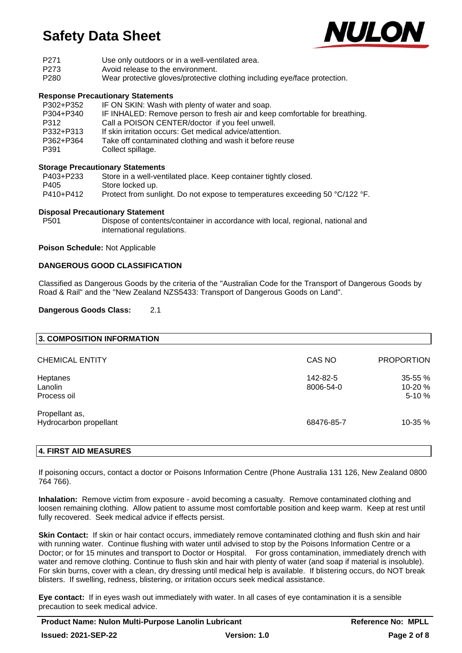

- P271 Use only outdoors or in a well-ventilated area.
- P273 Avoid release to the environment.
- P280 Wear protective gloves/protective clothing including eye/face protection.

### **Response Precautionary Statements**

| P302+P352 | IF ON SKIN: Wash with plenty of water and soap.                            |
|-----------|----------------------------------------------------------------------------|
| P304+P340 | IF INHALED: Remove person to fresh air and keep comfortable for breathing. |
| P312      | Call a POISON CENTER/doctor if you feel unwell.                            |
| P332+P313 | If skin irritation occurs: Get medical advice/attention.                   |
| P362+P364 | Take off contaminated clothing and wash it before reuse                    |
| P391      | Collect spillage.                                                          |

# **Storage Precautionary Statements**

| P403+P233 | Store in a well-ventilated place. Keep container tightly closed.             |
|-----------|------------------------------------------------------------------------------|
| P405      | Store locked up.                                                             |
| P410+P412 | Protect from sunlight. Do not expose to temperatures exceeding 50 °C/122 °F. |

#### **Disposal Precautionary Statement**

P501 Dispose of contents/container in accordance with local, regional, national and international regulations.

#### **Poison Schedule:** Not Applicable

#### **DANGEROUS GOOD CLASSIFICATION**

Classified as Dangerous Goods by the criteria of the "Australian Code for the Transport of Dangerous Goods by Road & Rail" and the "New Zealand NZS5433: Transport of Dangerous Goods on Land".

#### **Dangerous Goods Class:** 2.1

| 3. COMPOSITION INFORMATION |                       |                    |
|----------------------------|-----------------------|--------------------|
| <b>CHEMICAL ENTITY</b>     | CAS NO                | <b>PROPORTION</b>  |
| Heptanes<br>Lanolin        | 142-82-5<br>8006-54-0 | 35-55 %<br>10-20 % |
| Process oil                |                       | $5-10%$            |
| Propellant as,             |                       |                    |
| Hydrocarbon propellant     | 68476-85-7            | 10-35 %            |
|                            |                       |                    |

# **4. FIRST AID MEASURES**

If poisoning occurs, contact a doctor or Poisons Information Centre (Phone Australia 131 126, New Zealand 0800 764 766).

**Inhalation:** Remove victim from exposure - avoid becoming a casualty. Remove contaminated clothing and loosen remaining clothing. Allow patient to assume most comfortable position and keep warm. Keep at rest until fully recovered. Seek medical advice if effects persist.

**Skin Contact:** If skin or hair contact occurs, immediately remove contaminated clothing and flush skin and hair with running water. Continue flushing with water until advised to stop by the Poisons Information Centre or a Doctor; or for 15 minutes and transport to Doctor or Hospital. For gross contamination, immediately drench with water and remove clothing. Continue to flush skin and hair with plenty of water (and soap if material is insoluble). For skin burns, cover with a clean, dry dressing until medical help is available. If blistering occurs, do NOT break blisters. If swelling, redness, blistering, or irritation occurs seek medical assistance.

**Eye contact:** If in eyes wash out immediately with water. In all cases of eye contamination it is a sensible precaution to seek medical advice.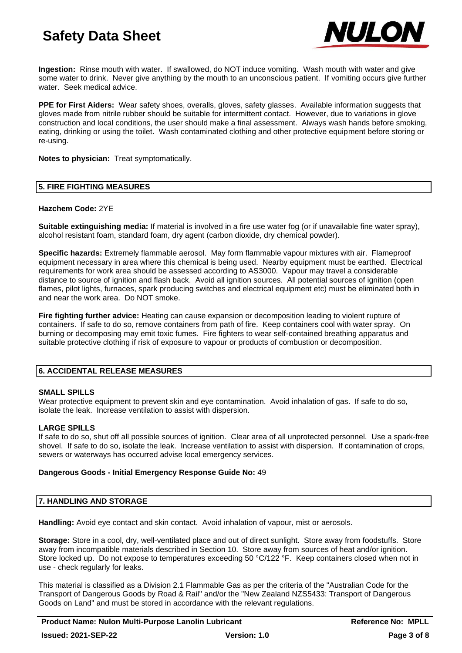

**Ingestion:** Rinse mouth with water. If swallowed, do NOT induce vomiting. Wash mouth with water and give some water to drink. Never give anything by the mouth to an unconscious patient. If vomiting occurs give further water. Seek medical advice.

**PPE for First Aiders:** Wear safety shoes, overalls, gloves, safety glasses. Available information suggests that gloves made from nitrile rubber should be suitable for intermittent contact. However, due to variations in glove construction and local conditions, the user should make a final assessment. Always wash hands before smoking, eating, drinking or using the toilet. Wash contaminated clothing and other protective equipment before storing or re-using.

**Notes to physician:** Treat symptomatically.

#### **5. FIRE FIGHTING MEASURES**

#### **Hazchem Code:** 2YE

**Suitable extinguishing media:** If material is involved in a fire use water fog (or if unavailable fine water spray), alcohol resistant foam, standard foam, dry agent (carbon dioxide, dry chemical powder).

**Specific hazards:** Extremely flammable aerosol. May form flammable vapour mixtures with air. Flameproof equipment necessary in area where this chemical is being used. Nearby equipment must be earthed. Electrical requirements for work area should be assessed according to AS3000. Vapour may travel a considerable distance to source of ignition and flash back. Avoid all ignition sources. All potential sources of ignition (open flames, pilot lights, furnaces, spark producing switches and electrical equipment etc) must be eliminated both in and near the work area. Do NOT smoke.

**Fire fighting further advice:** Heating can cause expansion or decomposition leading to violent rupture of containers. If safe to do so, remove containers from path of fire. Keep containers cool with water spray. On burning or decomposing may emit toxic fumes. Fire fighters to wear self-contained breathing apparatus and suitable protective clothing if risk of exposure to vapour or products of combustion or decomposition.

# **6. ACCIDENTAL RELEASE MEASURES**

#### **SMALL SPILLS**

Wear protective equipment to prevent skin and eye contamination. Avoid inhalation of gas. If safe to do so, isolate the leak. Increase ventilation to assist with dispersion.

# **LARGE SPILLS**

If safe to do so, shut off all possible sources of ignition. Clear area of all unprotected personnel. Use a spark-free shovel. If safe to do so, isolate the leak. Increase ventilation to assist with dispersion. If contamination of crops, sewers or waterways has occurred advise local emergency services.

#### **Dangerous Goods - Initial Emergency Response Guide No:** 49

# **7. HANDLING AND STORAGE**

**Handling:** Avoid eye contact and skin contact. Avoid inhalation of vapour, mist or aerosols.

**Storage:** Store in a cool, dry, well-ventilated place and out of direct sunlight. Store away from foodstuffs. Store away from incompatible materials described in Section 10. Store away from sources of heat and/or ignition. Store locked up. Do not expose to temperatures exceeding 50 °C/122 °F. Keep containers closed when not in use - check regularly for leaks.

This material is classified as a Division 2.1 Flammable Gas as per the criteria of the "Australian Code for the Transport of Dangerous Goods by Road & Rail" and/or the "New Zealand NZS5433: Transport of Dangerous Goods on Land" and must be stored in accordance with the relevant regulations.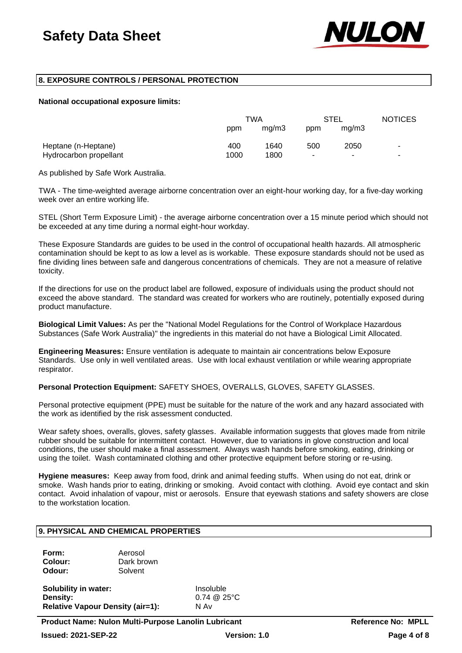

# **8. EXPOSURE CONTROLS / PERSONAL PROTECTION**

#### **National occupational exposure limits:**

|                        | TWA  |       | <b>STEL</b> |       | <b>NOTICES</b> |
|------------------------|------|-------|-------------|-------|----------------|
|                        | ppm  | mq/m3 | ppm         | mg/m3 |                |
| Heptane (n-Heptane)    | 400  | 1640  | 500         | 2050  | ٠              |
| Hydrocarbon propellant | 1000 | 1800  | ٠           |       | ۰              |

As published by Safe Work Australia.

TWA - The time-weighted average airborne concentration over an eight-hour working day, for a five-day working week over an entire working life.

STEL (Short Term Exposure Limit) - the average airborne concentration over a 15 minute period which should not be exceeded at any time during a normal eight-hour workday.

These Exposure Standards are guides to be used in the control of occupational health hazards. All atmospheric contamination should be kept to as low a level as is workable. These exposure standards should not be used as fine dividing lines between safe and dangerous concentrations of chemicals. They are not a measure of relative toxicity.

If the directions for use on the product label are followed, exposure of individuals using the product should not exceed the above standard. The standard was created for workers who are routinely, potentially exposed during product manufacture.

**Biological Limit Values:** As per the "National Model Regulations for the Control of Workplace Hazardous Substances (Safe Work Australia)" the ingredients in this material do not have a Biological Limit Allocated.

**Engineering Measures:** Ensure ventilation is adequate to maintain air concentrations below Exposure Standards. Use only in well ventilated areas. Use with local exhaust ventilation or while wearing appropriate respirator.

**Personal Protection Equipment:** SAFETY SHOES, OVERALLS, GLOVES, SAFETY GLASSES.

Personal protective equipment (PPE) must be suitable for the nature of the work and any hazard associated with the work as identified by the risk assessment conducted.

Wear safety shoes, overalls, gloves, safety glasses. Available information suggests that gloves made from nitrile rubber should be suitable for intermittent contact. However, due to variations in glove construction and local conditions, the user should make a final assessment. Always wash hands before smoking, eating, drinking or using the toilet. Wash contaminated clothing and other protective equipment before storing or re-using.

**Hygiene measures:** Keep away from food, drink and animal feeding stuffs. When using do not eat, drink or smoke. Wash hands prior to eating, drinking or smoking. Avoid contact with clothing. Avoid eye contact and skin contact. Avoid inhalation of vapour, mist or aerosols. Ensure that eyewash stations and safety showers are close to the workstation location.

# **9. PHYSICAL AND CHEMICAL PROPERTIES**

| Form:   | Aerosol    |
|---------|------------|
| Colour: | Dark brown |
| Odour:  | Solvent    |

**Solubility in water:** Insoluble **Density:** 0.74 @ 25°C **Relative Vapour Density (air=1):** N Av

**Product Name: Nulon Multi-Purpose Lanolin Lubricant The Contract Reference No: MPLL Issued: 2021-SEP-22 Version: 1.0 Page 4 of 8**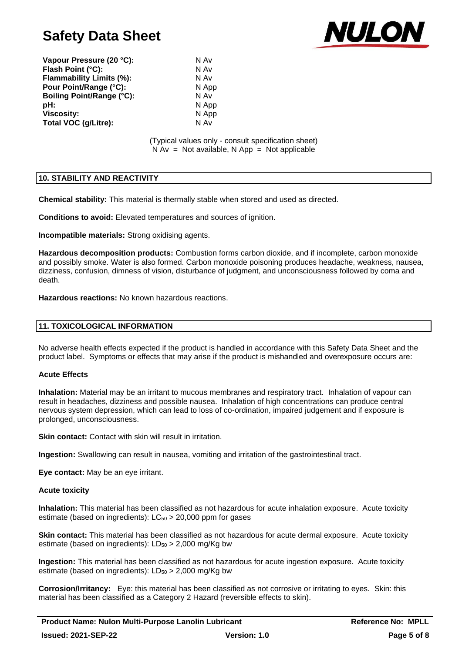

| Vapour Pressure (20 °C):         | N Av |
|----------------------------------|------|
| Flash Point (°C):                | N Av |
| <b>Flammability Limits (%):</b>  | N Av |
| Pour Point/Range (°C):           | N Ap |
| <b>Boiling Point/Range (°C):</b> | N Av |
| pH:                              | N Ap |
| <b>Viscosity:</b>                | N Ap |
| Total VOC (g/Litre):             | N Av |

**N** App **pH:** N App **N** App

(Typical values only - consult specification sheet)  $N Av = Not available, N App = Not applicable$ 

# **10. STABILITY AND REACTIVITY**

**Chemical stability:** This material is thermally stable when stored and used as directed.

**Conditions to avoid:** Elevated temperatures and sources of ignition.

**Incompatible materials:** Strong oxidising agents.

**Hazardous decomposition products:** Combustion forms carbon dioxide, and if incomplete, carbon monoxide and possibly smoke. Water is also formed. Carbon monoxide poisoning produces headache, weakness, nausea, dizziness, confusion, dimness of vision, disturbance of judgment, and unconsciousness followed by coma and death.

**Hazardous reactions:** No known hazardous reactions.

# **11. TOXICOLOGICAL INFORMATION**

No adverse health effects expected if the product is handled in accordance with this Safety Data Sheet and the product label. Symptoms or effects that may arise if the product is mishandled and overexposure occurs are:

# **Acute Effects**

**Inhalation:** Material may be an irritant to mucous membranes and respiratory tract. Inhalation of vapour can result in headaches, dizziness and possible nausea. Inhalation of high concentrations can produce central nervous system depression, which can lead to loss of co-ordination, impaired judgement and if exposure is prolonged, unconsciousness.

**Skin contact:** Contact with skin will result in irritation.

**Ingestion:** Swallowing can result in nausea, vomiting and irritation of the gastrointestinal tract.

**Eye contact:** May be an eye irritant.

#### **Acute toxicity**

**Inhalation:** This material has been classified as not hazardous for acute inhalation exposure. Acute toxicity estimate (based on ingredients):  $LC_{50} > 20,000$  ppm for gases

**Skin contact:** This material has been classified as not hazardous for acute dermal exposure. Acute toxicity estimate (based on ingredients):  $LD_{50} > 2,000$  mg/Kg bw

**Ingestion:** This material has been classified as not hazardous for acute ingestion exposure. Acute toxicity estimate (based on ingredients):  $LD_{50} > 2,000$  mg/Kg bw

**Corrosion/Irritancy:** Eye: this material has been classified as not corrosive or irritating to eyes. Skin: this material has been classified as a Category 2 Hazard (reversible effects to skin).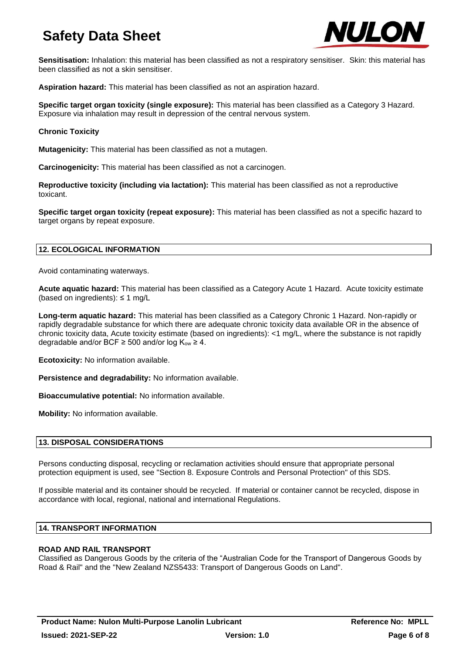

**Sensitisation:** Inhalation: this material has been classified as not a respiratory sensitiser. Skin: this material has been classified as not a skin sensitiser.

**Aspiration hazard:** This material has been classified as not an aspiration hazard.

**Specific target organ toxicity (single exposure):** This material has been classified as a Category 3 Hazard. Exposure via inhalation may result in depression of the central nervous system.

# **Chronic Toxicity**

**Mutagenicity:** This material has been classified as not a mutagen.

**Carcinogenicity:** This material has been classified as not a carcinogen.

**Reproductive toxicity (including via lactation):** This material has been classified as not a reproductive toxicant.

**Specific target organ toxicity (repeat exposure):** This material has been classified as not a specific hazard to target organs by repeat exposure.

# **12. ECOLOGICAL INFORMATION**

Avoid contaminating waterways.

**Acute aquatic hazard:** This material has been classified as a Category Acute 1 Hazard. Acute toxicity estimate (based on ingredients):  $\leq$  1 mg/L

**Long-term aquatic hazard:** This material has been classified as a Category Chronic 1 Hazard. Non-rapidly or rapidly degradable substance for which there are adequate chronic toxicity data available OR in the absence of chronic toxicity data, Acute toxicity estimate (based on ingredients): <1 mg/L, where the substance is not rapidly degradable and/or BCF  $\geq$  500 and/or log K<sub>ow</sub>  $\geq$  4.

**Ecotoxicity:** No information available.

**Persistence and degradability:** No information available.

**Bioaccumulative potential:** No information available.

**Mobility:** No information available.

# **13. DISPOSAL CONSIDERATIONS**

Persons conducting disposal, recycling or reclamation activities should ensure that appropriate personal protection equipment is used, see "Section 8. Exposure Controls and Personal Protection" of this SDS.

If possible material and its container should be recycled. If material or container cannot be recycled, dispose in accordance with local, regional, national and international Regulations.

# **14. TRANSPORT INFORMATION**

# **ROAD AND RAIL TRANSPORT**

Classified as Dangerous Goods by the criteria of the "Australian Code for the Transport of Dangerous Goods by Road & Rail" and the "New Zealand NZS5433: Transport of Dangerous Goods on Land".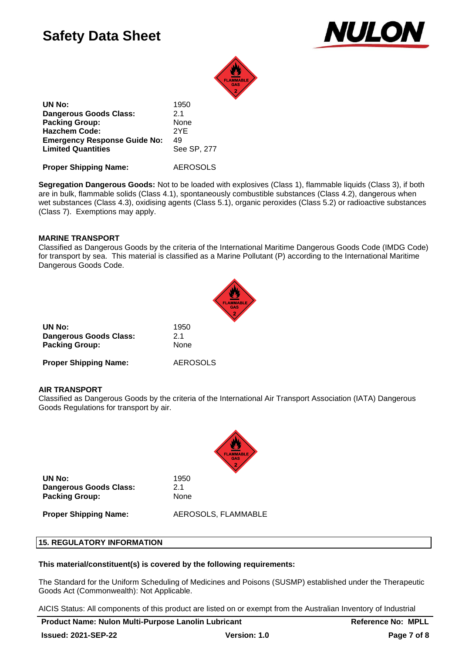



**UN No:** 1950 **Dangerous Goods Class:** 2.1 Packing Group: None **Hazchem Code:** 2YE **Emergency Response Guide No:** 49<br>**Limited Quantities** See SP, 277 **Limited Quantities** 

**Proper Shipping Name:** AEROSOLS

**Segregation Dangerous Goods:** Not to be loaded with explosives (Class 1), flammable liquids (Class 3), if both are in bulk, flammable solids (Class 4.1), spontaneously combustible substances (Class 4.2), dangerous when wet substances (Class 4.3), oxidising agents (Class 5.1), organic peroxides (Class 5.2) or radioactive substances (Class 7). Exemptions may apply.

# **MARINE TRANSPORT**

Classified as Dangerous Goods by the criteria of the International Maritime Dangerous Goods Code (IMDG Code) for transport by sea. This material is classified as a Marine Pollutant (P) according to the International Maritime Dangerous Goods Code.



| UN No:                        | 1950            |
|-------------------------------|-----------------|
| <b>Dangerous Goods Class:</b> | 2.1             |
| <b>Packing Group:</b>         | None            |
| <b>Proper Shipping Name:</b>  | <b>AEROSOLS</b> |

# **AIR TRANSPORT**

Classified as Dangerous Goods by the criteria of the International Air Transport Association (IATA) Dangerous Goods Regulations for transport by air.



**UN No:** 1950 **Dangerous Goods Class:** 2.1 Packing Group: None

**Proper Shipping Name:** AEROSOLS, FLAMMABLE

#### **15. REGULATORY INFORMATION**

#### **This material/constituent(s) is covered by the following requirements:**

The Standard for the Uniform Scheduling of Medicines and Poisons (SUSMP) established under the Therapeutic Goods Act (Commonwealth): Not Applicable.

AICIS Status: All components of this product are listed on or exempt from the Australian Inventory of Industrial